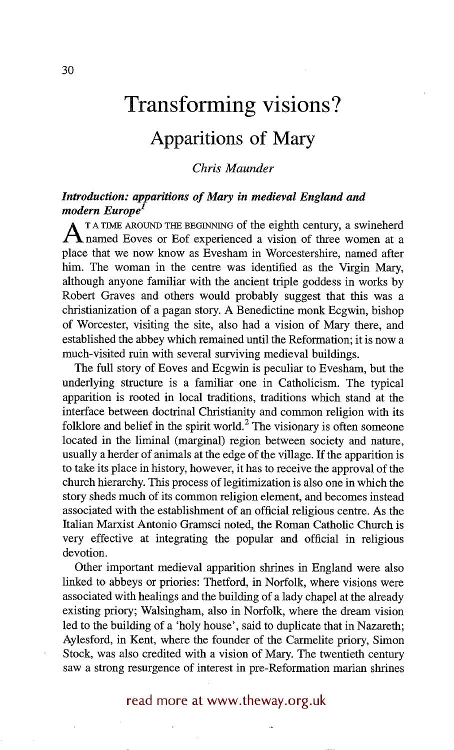# **Transforming visions?**

## **Apparitions of Mary**

#### *Chris Maunder*

#### *Introduction: apparitions of Mary in medieval England and modern Europe*<sup>1</sup>

**A** TA TIME AROUND THE BEGINNING of the eighth century, a swineherd handle a vision of three women at a place that we now know as Evesham in Worcestershire, named after him. The woman in the centre was identified as the Virgin Mary, although anyone familiar with the ancient triple goddess in works by Robert Graves and others would probably suggest that this was a christianization of a pagan story. A Benedictine monk Ecgwin, bishop of Worcester, visiting the site, also had a vision of Mary there, and established the abbey which remained until the Reformation; it is now a much-visited ruin with several surviving medieval buildings.

The full story of Eoves and Ecgwin is peculiar to Evesham, but the underlying structure is a familiar one in Catholicism. The typical apparition is rooted in local traditions, traditions which stand at the interface between doctrinal Christianity and common religion with its folklore and belief in the spirit world.<sup>2</sup> The visionary is often someone located in the liminal (marginal) region between society and nature, usually a herder of animals at the edge of the village. If the apparition is to take its place in history, however, it has to receive the approval of the church hierarchy. This process of legitimization is also one in which the story sheds much of its common religion element, and becomes instead associated with the establishment of an official religious centre. As the Italian Marxist Antonio Gramsci noted, the Roman Catholic Church is very effective at integrating the popular and official in religious devotion.

Other important medieval apparition shrines in England were also linked to abbeys or priories: Thetford, in Norfolk, where visions were associated with healings and the building of a lady chapel at the already existing priory; Walsingham, also in Norfolk, where the dream vision led to the building of a 'holy house', said to duplicate that in Nazareth; Aylesford, in Kent, where the founder of the Carmelite priory, Simon Stock, was also credited with a vision of Mary. The twentieth century saw a strong resurgence of interest in pre-Reformation marian shrines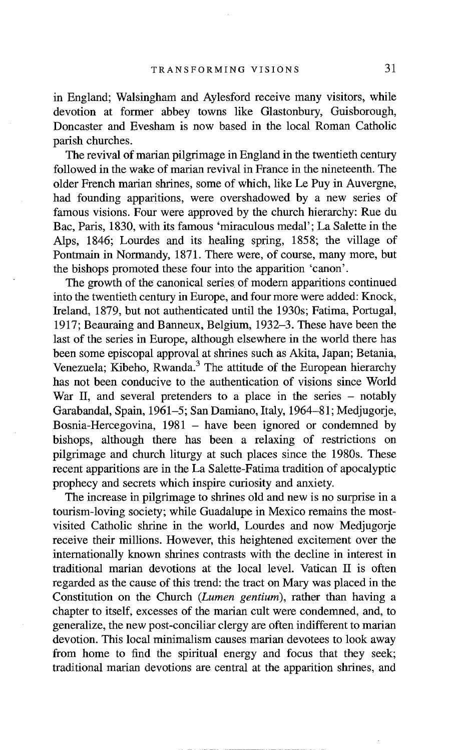in England; Walsingham and Aylesford receive many visitors, while devotion at former abbey towns like Glastonbury, Guisborough, Doncaster and Evesham is now based in the local Roman Catholic parish churches.

The revival of marian pilgrimage in England in the twentieth century followed in the wake of marian revival in France in the nineteenth. The older French marian shrines, some of which, like Le Puy in Auvergne, had founding apparitions, were overshadowed by a new series of famous visions. Four were approved by the church hierarchy: Rue du Bac, Paris, 1830, with its famous 'miraculous medal'; La Salette in the Alps, 1846; Lourdes and its healing spring, 1858; the village of Pontmain in Normandy, 1871. There were, of course, many more, but the bishops promoted these four into the apparition 'canon'.

The growth of the canonical series of modem apparitions continued into the twentieth century in Europe, and four more were added: Knock, Ireland, 1879, but not authenticated until the 1930s; Fatima, Portugal, 1917; Beauraing and Banneux, Belgium, 1932-3. These have been the last of the series in Europe, although elsewhere in the world there has been some episcopal approval at shrines such as Akita, Japan; Betania, Venezuela; Kibeho, Rwanda.<sup>3</sup> The attitude of the European hierarchy has not been conducive to the authentication of visions since World War II, and several pretenders to a place in the series – notably Garabandal, Spain, 1961-5; San Damiano, Italy, 1964-81; Medjugorje, Bosnia-Hercegovina,  $1981$  – have been ignored or condemned by bishops, although there has been a relaxing of restrictions on pilgrimage and church liturgy at such places since the 1980s. These recent apparitions are in the La Salette-Fatima tradition of apocalyptic prophecy and secrets which inspire curiosity and anxiety.

The increase in pilgrimage to shrines old and new is no surprise in a tourism-loving society; while Guadalupe in Mexico remains the mostvisited Catholic shrine in the world, Lourdes and now Medjugorje receive their millions. However, this heightened excitement over the intemationally known shrines contrasts with the decline in interest in traditional marian devotions at the local level. Vatican II is often regarded as the cause of this trend: the tract on Mary was placed in the Constitution on the Church *(Lumen gentium),* rather than having a chapter to itself, excesses of the marian cult were condemned, and, to generalize, the new post-conciliar clergy are often indifferent to marian devotion. This local minimalism causes marian devotees to look away from home to find the spiritual energy and focus that they seek; traditional marian devotions are central at the apparition shrines, and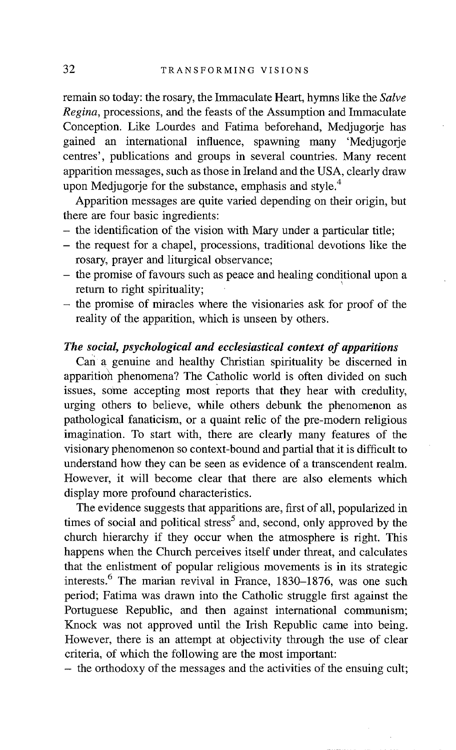remain so today: the rosary, the Immaculate Heart, hymns like the *Salve Regina,* processions, and the feasts of the Assumption and Immaculate Conception. Like Lourdes and Fatima beforehand, Mediugorie has gained an international influence, spawning many 'Medjugorje centres', publications and groups in several countries. Many recent apparition messages, such as those in Ireland and the USA, clearly draw upon Medjugorje for the substance, emphasis and style.<sup>4</sup>

Apparition messages are quite varied depending on their origin, but there are four basic ingredients:

- the identification of the vision with Mary under a particular title;
- the request for a chapel, processions, traditional devotions like the rosary, prayer and liturgical observance;
- the promise of favours such as peace and healing conditional upon a return to right spirituality;
- $-$  the promise of miracles where the visionaries ask for proof of the reality of the apparition, which is unseen by others.

#### *The social, psychological and ecclesiastical context of apparitions*

Can a genuine and healthy Christian spirituality be discerned in apparitioh phenomena? The Catholic world is often divided on such issues, some accepting most reports that they hear with credulity, urging others to believe, while others debunk the phenomenon as pathological fanaticism, or a quaint relic of the pre-modern religious imagination. To start with, there are clearly many features of the visionary phenomenon so context-bound and partial that it is difficult to understand how they can be seen as evidence of a transcendent realm. However, it will become clear that there are also elements which display more profound characteristics.

The evidence suggests that apparitions are, first of all, popularized in times of social and political stress<sup>5</sup> and, second, only approved by the church hierarchy if they occur when the atmosphere is right. This happens when the Church perceives itself under threat, and calculates that the enlistment of popular religious movements is in its strategic interests.<sup>6</sup> The marian revival in France, 1830–1876, was one such period; Fatima was drawn into the Catholic struggle first against the Portuguese Republic, and then against international communism; Knock was not approved until the Irish Republic came into being. However, there is an attempt at objectivity through the use of clear criteria, of which the following are the most important:

**-** the orthodoxy of the messages and the activities of the ensuing cult;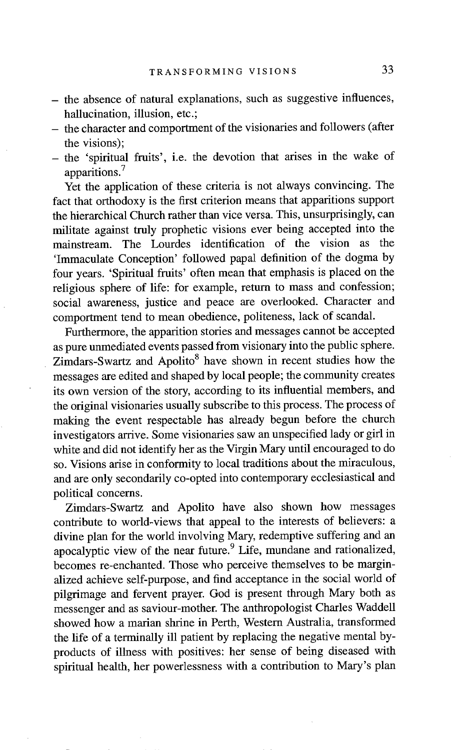- the absence of natural explanations, such as suggestive influences, hallucination, illusion, etc.;
- the character and comportment of the visionaries and followers (after the visions);
- the 'spiritual fruits', i.e. the devotion that arises in the wake of apparitions.<sup>7</sup>

Yet the application of these criteria is not always convincing. The fact that orthodoxy is the first criterion means that apparitions support the hierarchical Church rather than vice versa. This, unsurprisingly, can militate against truly prophetic visions ever being accepted into the mainstream. The Lourdes identification of the vision as the 'Immaculate Conception' followed papal definition of the dogma by four years. 'Spiritual fruits' often mean that emphasis is placed on the religious sphere of life: for example, return to mass and confession; social awareness, justice and peace are overlooked. Character and comportment tend to mean obedience, politeness, lack of scandal.

Furthermore, the apparition stories and messages cannot be accepted as pure unmediated events passed from visionary into the public sphere.  $Z$ imdars-Swartz and Apolito<sup>8</sup> have shown in recent studies how the messages are edited and shaped by local people; the community creates its own version of the story, according to its influential members, and the original visionaries usually subscribe to this process. The process of making the event respectable has already begun before the church investigators arrive. Some visionaries saw an unspecified lady or girl in white and did not identify her as the Virgin Mary until encouraged to do so. Visions arise in conformity to local traditions about the miraculous, and are only secondarily co-opted into contemporary ecclesiastical and political concerns.

Zimdars-Swartz and Apolito have also shown how messages contribute to world-views that appeal to the interests of believers: a divine plan for the world involving Mary, redemptive suffering and an apocalyptic view of the near future.<sup>9</sup> Life, mundane and rationalized, becomes re-enchanted. Those who perceive themselves to be marginalized achieve self-purpose, and find acceptance in the social world of pilgrimage and fervent prayer. God is present through Mary both as messenger and as saviour-mother. The anthropologist Charles Waddell showed how a marian shrine in Perth, Western Australia, transformed the life of a terminally ill patient by replacing the negative mental byproducts of illness with positives: her sense of being diseased with spiritual health, her powerlessness with a contribution to Mary's plan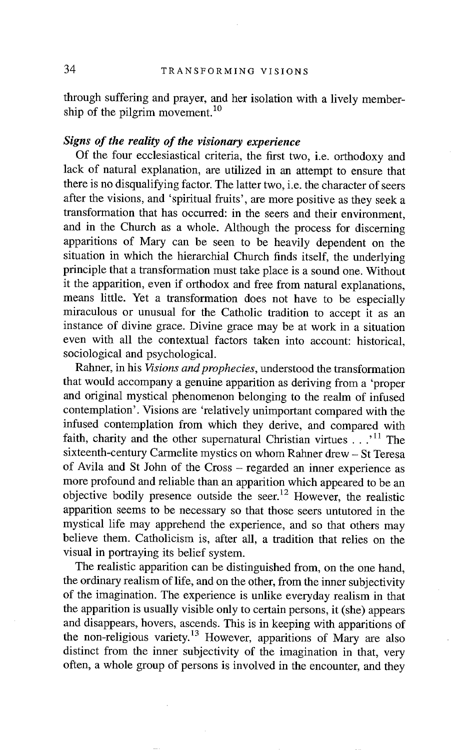through suffering and prayer, and her isolation with a lively membership of the pilgrim movement.<sup>10</sup>

#### *Signs of the reality of the visionary experience*

Of the four ecclesiastical criteria, the first two, i.e. orthodoxy and lack of natural explanation, are utilized in an attempt to ensure that there is no disqualifying factor. The latter two, i.e. the character of seers after the visions, and 'spiritual fruits', are more positive as they seek a transformation that has occurred: in the seers and their environment, and in the Church as a whole. Although the process for discerning apparitions of Mary can be seen to be heavily dependent on the situation in which the hierarchial Church finds itself, the underlying principle that a transformation must take place is a sound one. Without it the apparition, even if orthodox and free from natural explanations, means little. Yet a transformation does not have to be especially miraculous or unusual for the Catholic tradition to accept it as an instance of divine grace. Divine grace may be at work in a situation even with all the contextual factors taken into account: historical, sociological and psychological.

Rahner, in his *Visions and prophecies,* understood the transformation that would accompany a genuine apparition as deriving from a 'proper and original mystical phenomenon belonging to the realm of infused contemplation'. Visions are 'relatively unimportant compared with the infused contemplation from which they derive, and compared with faith, charity and the other supernatural Christian virtues  $\ldots$ <sup>11</sup>. The sixteenth-century Carmelite mystics on whom Rahner drew - St Teresa of Avila and St John of the Cross - regarded an inner experience as more profound and reliable than an apparition which appeared to be an objective bodily presence outside the seer.<sup>12</sup> However, the realistic apparition seems to be necessary so that those seers untutored in the mystical life may apprehend the experience, and so that others may believe them. Catholicism is, after all, a tradition that relies on the visual in portraying its belief system.

The realistic apparition can be distinguished from, on the one hand, the ordinary realism of life, and on the other, from the inner subjectivity of the imagination. The experience is unlike everyday realism in that the apparition is usually visible only to certain persons, it (she) appears and disappears, hovers, ascends. This is in keeping with apparitions of the non-religious variety.<sup>13</sup> However, apparitions of Mary are also distinct from the inner subjectivity of the imagination in that, very often, a whole group of persons is involved in the encounter, and they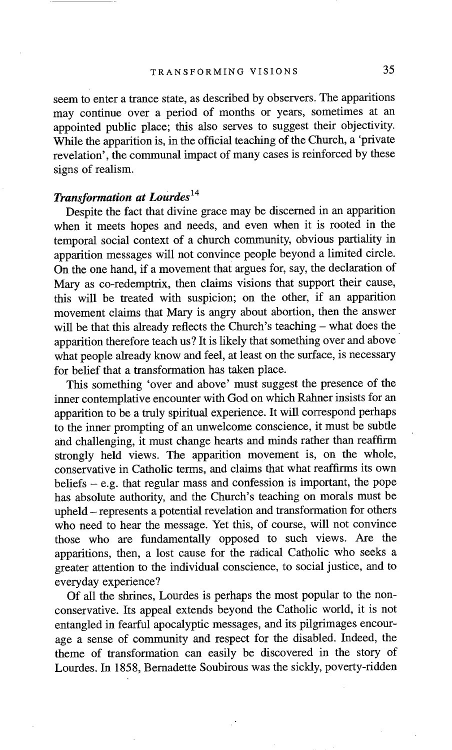seem to enter a trance state, as described by observers. The apparitions may continue over a period of months or years, sometimes at an appointed public place; this also serves to suggest their objectivity. While the apparition is, in the official teaching of the Church, a 'private revelation', the communal impact of many cases is reinforced by these signs of realism.

### *Transformation at Lourdes 14*

Despite the fact that divine grace may be discerned in an apparition when it meets hopes and needs, and even when it is rooted in the temporal social context of a church community, obvious partiality in apparition messages will not convince people beyond a limited circle. On the one hand, if a movement that argues for, say, the declaration of Mary as co-redemptrix, then claims visions that support their cause, this will be treated with suspicion; on the other, if an apparition movement claims that Mary is angry about abortion, then the answer will be that this already reflects the Church's teaching – what does the apparition therefore teach us? It is likely that something over and above what people already know and feel, at least on the surface, is necessary for belief that a transformation has taken place.

This something 'over and above' must suggest the presence of the inner contemplative encounter with God on which Rahner insists for an apparition to be a truly spiritual experience. It will correspond perhaps to the inner prompting of an unwelcome conscience, it must be subtle and challenging, it must change hearts and minds rather than reaffirm strongly held views. The apparition movement is, on the whole, conservative in Catholic terms, and claims that what reaffirms its own beliefs  $-$  e.g. that regular mass and confession is important, the pope has absolute authority, and the Church's teaching on morals must be upheld - represents a potential revelation and transformation for others who need to hear the message. Yet this, of course, will not convince those who are fundamentally opposed to such views. Are the apparitions, then, a lost cause for the radical Catholic who seeks a greater attention to the individual conscience, to social justice, and to everyday experience?

Of all the shrines, Lourdes is perhaps the most popular to the nonconservative. Its appeal extends beyond the Catholic world, it is not entangled in fearful apocalyptic messages, and its pilgrimages encourage a sense of community and respect for the disabled. Indeed, the theme of transformation can easily be discovered in the story of Lourdes. In 1858, Bernadette Soubirous was the sickly, poverty-ridden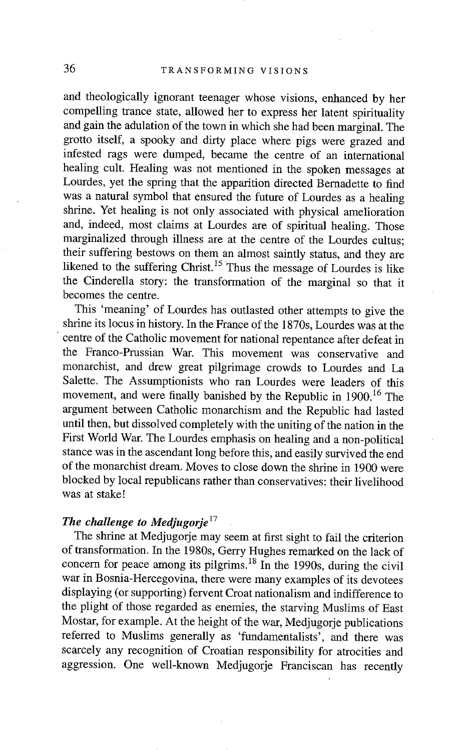and theologically ignorant teenager whose visions, enhanced by her compelling trance state, allowed her to express her latent spirituality and gain the adulation of the town in which she had been marginal. The grotto itself, a spooky and dirty place where pigs were grazed and infested rags were dumped, became the centre of an international healing cult. Healing was not mentioned in the spoken messages at Lourdes, yet the spring that the apparition directed Bernadette to find was a natural symbol that ensured the future of Lourdes as a healing shrine. Yet healing is not only associated with physical amelioration and, indeed, most claims at Lourdes are of spiritual healing. Those marginalized through illness are at the centre of the Lourdes cultus; their suffering bestows on them an almost saintly status, and they are likened to the suffering Christ.<sup>15</sup> Thus the message of Lourdes is like the Cinderella story: the transformation of the marginal so that it becomes the centre.

This 'meaning' of Lourdes has outlasted other attempts to give the shrine its locus in history. In the France of the 1870s, Lourdes was at the • centre of the Catholic movement for national repentance after defeat in the Franco-Prussian War. This movement was conservative and monarchist, and drew great pilgrimage crowds to Lourdes and La Salette. The Assumptionists who ran Lourdes were leaders of this movement, and were finally banished by the Republic in 1900.<sup>16</sup> The argument between Catholic monarchism and the Republic had lasted until then, but dissolved completely with the uniting of the nation in the First World War. The Lourdes emphasis on healing and a non-political stance was in the ascendant long before this, and easily survived the end of the monarchist dream. Moves to close down the shrine in 1900 were blocked by local republicans rather than conservatives: their livelihood was at stake!

#### *The challenge to Medjugorje*<sup>17</sup>

The shrine at Medjugorje may seem at first sight to fail the criterion of transformation. In the 1980s, Gerry Hughes remarked on the lack of concern for peace among its pilgrims.<sup>18</sup> In the 1990s, during the civil war in Bosnia-Hercegovina, there were many examples of its devotees displaying (or supporting) fervent Croat nationalism and indifference to the plight of those regarded as enemies, the starving Muslims of East Mostar, for example. At the height of the war, Medjugorje publications referred to Muslims generally as 'fundamentalists', and there was scarcely any recognition of Croatian responsibility for atrocities and aggression. One well-known Medjugorje Franciscan has recently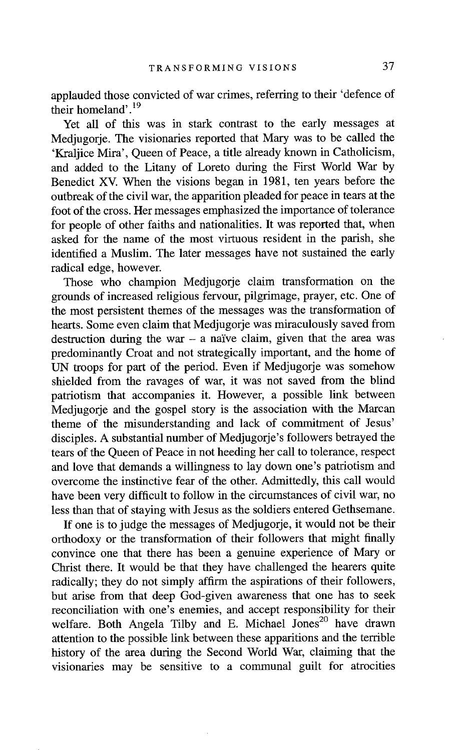applauded those convicted of war crimes, referring to their 'defence of their homeland'.19

Yet all of this was in stark contrast to the early messages at Mediugorie. The visionaries reported that Mary was to be called the 'Kraljice Mira', Queen of Peace, a title already known in Catholicism, and added to the Litany of Loreto during the First World War by Benedict XV. When the visions began in 1981, ten years before the outbreak of the civil war, the apparition pleaded for peace in tears at the foot of the cross. Her messages emphasized the importance of tolerance for people of other faiths and nationalities. It was reported that, when asked for the name of the most virtuous resident in the parish, she identified a Muslim. The later messages have not sustained the early radical edge, however.

Those who champion Medjugorje claim transformation on the grounds of increased religious fervour, pilgrimage, prayer, etc. One of the most persistent themes of the messages was the transformation of hearts. Some even claim that Medjugorje was miraculously saved from destruction during the war  $-$  a naïve claim, given that the area was predominantly Croat and not strategically important, and the home of UN troops for part of the period. Even if Medjugorje was somehow shielded from the ravages of war, it was not saved from the blind patriotism that accompanies it. However, a possible link between Medjugorje and the gospel story is the association with the Marcan theme of the misunderstanding and lack of commitment of Jesus' disciples. A substantial number of Medjugorje's followers betrayed the tears of the Queen of Peace in not heeding her call to tolerance, respect and love that demands a willingness to lay down one's patriotism and overcome the instinctive fear of the other. Admittedly, this call would have been very difficult to follow in the circumstances of civil war, no less than that of staying with Jesus as the soldiers entered Gethsemane.

If one is to judge the messages of Medjugorje, it would not be their orthodoxy or the transformation of their followers that might finally convince one that there has been a genuine experience of Mary or Christ there. It would be that they have challenged the hearers quite radically; they do not simply affirm the aspirations of their followers, but arise from that deep God-given awareness that one has to seek reconciliation with one's enemies, and accept responsibility for their welfare. Both Angela Tilby and E. Michael Jones<sup>20</sup> have drawn attention to the possible link between these apparitions and the terrible history of the area during the Second World War, claiming that the visionaries may be sensitive to a communal guilt for atrocities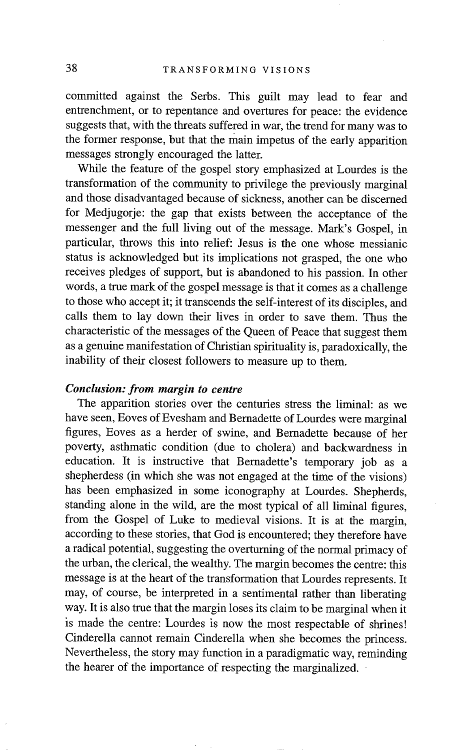committed against the Serbs. This guilt may lead to fear and entrenchment, or to repentance and overtures for peace: the evidence suggests that, with the threats suffered in war, the trend for many was to the former response, but that the main impetus of the early apparition messages strongly encouraged the latter.

While the feature of the gospel story emphasized at Lourdes is the transformation of the community to privilege the previously marginal and those disadvantaged because of sickness, another can be discerned for Medjugorje: the gap that exists between the acceptance of the messenger and the full living out of the message. Mark's Gospel, in particular, throws this into relief: Jesus is the one whose messianic status is acknowledged but its implications not grasped, the one who receives pledges of support, but is abandoned to his passion. In other words, a true mark of the gospel message is that it comes as a challenge to those who accept it; it transcends the self-interest of its disciples, and calls them to lay down their lives in order to save them. Thus the characteristic of the messages of the Queen of Peace that suggest them as a genuine manifestation of Christian spirituality is, paradoxically, the inability of their closest followers to measure up to them.

#### *Conclusion: from margin to centre*

The apparition stories over the centuries stress the liminal: as we have seen, Eoves of Evesham and Bernadette of Lourdes were marginal figures, Eoves as a herder of swine, and Bernadette because of her poverty, asthmatic condition (due to cholera) and backwardness in education. It is instructive that Bernadette's temporary job as a shepherdess (in which she was not engaged at the time of the visions) has been emphasized in some iconography at Lourdes. Shepherds, standing alone in the wild, are the most typical of all liminal figures, from the Gospel of Luke to medieval visions. It is at the margin, according to these stories, that God is encountered; they therefore have a radical potential, suggesting the overturning of the normal primacy of the urban, the clerical, the wealthy. The margin becomes the centre: this message is at the heart of the transformation that Lourdes represents. It may, of course, be interpreted in a sentimental rather than liberating way. It is also true that the margin loses its claim to be marginal when it is made the centre: Lourdes is now the most respectable of shrines! Cinderella cannot remain Cinderella when she becomes the princess. Nevertheless, the story may function in a paradigmatic way, reminding the hearer of the importance of respecting the marginalized. •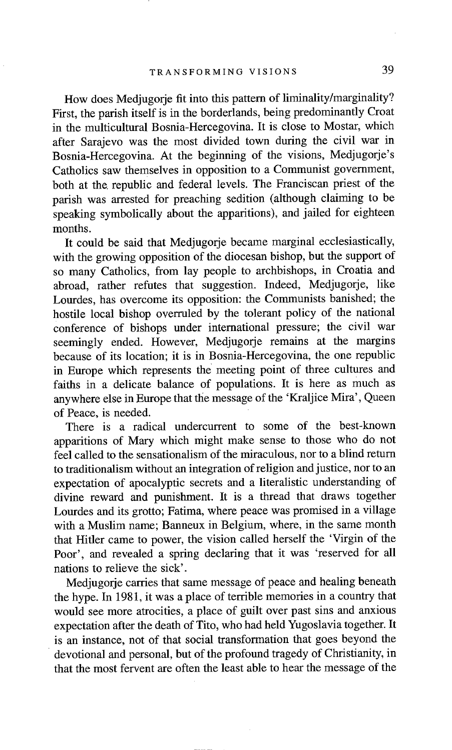How does Medjugorje fit into this pattern of liminality/marginality? First, the parish itself is in the borderlands, being predominantly Croat in the multicultural Bosnia-Hercegovina. It is close to Mostar, which after Sarajevo was the most divided town during the civil war in Bosnia-Hercegovina. At the beginning of the visions, Medjugorje's Catholics saw themselves in opposition to a Communist government, both at the. republic and federal levels. The Franciscan priest of the parish was arrested for preaching sedition (although claiming to be speaking symbolically about the apparitions), and jailed for eighteen months.

It could be said that Medjugorje became marginal ecclesiastically, with the growing opposition of the diocesan bishop, but the support of so many Catholics, from lay people to archbishops, in Croatia and abroad, rather refutes that suggestion. Indeed, Medjugorje, like Lourdes, has overcome its opposition: the Communists banished; the hostile local bishop overruled by the tolerant policy of the national conference of bishops under international pressure; the civil war seemingly ended. However, Medjugorje remains at the margins because of its location; it is in Bosnia-Hercegovina, the one republic in Europe which represents the meeting point of three cultures and faiths in a delicate balance of populations. It is here as much as anywhere else in Europe that the message of the 'Kraljice Mira', Queen of Peace, is needed.

There is a radical undercurrent to some of the best-known apparitions of Mary which might make sense to those who do not feel called to the sensationalism of the miraculous, nor to a blind return to traditionalism without an integration of religion and justice, nor to an expectation of apocalyptic secrets and a literalistic understanding of divine reward and punishment. It is a thread that draws together Lourdes and its grotto; Fatima, where peace was promised in a village with a Muslim name; Banneux in Belgium, where, in the same month that Hitler came to power, the vision called herself the 'Virgin of the Poor', and revealed a spring declaring that it was 'reserved for all nations to relieve the sick'.

Medjugorje carries that same message of peace and healing beneath the hype. In 1981, it was a place of terrible memories in a country that would see more atrocities, a place of guilt over past sins and anxious expectation after the death of Tito, who had held Yugoslavia together. It is an instance, not of that social transformation that goes beyond the devotional and personal, but of the profound tragedy of Christianity, in that the most fervent are often the least able to hear the message of the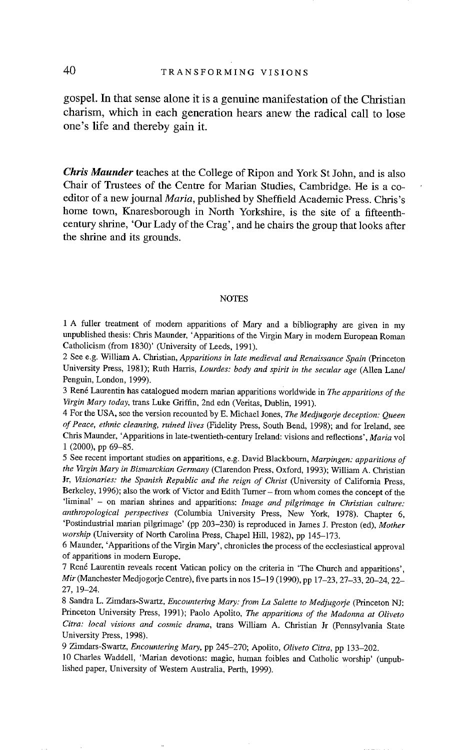**gospel. In that sense alone it is a genuine manifestation of the Christian charism, which in each generation hears anew the radical call to lose one's life and thereby gain it.** 

*Chris Maunder* **teaches at the College of Ripon and York St John, and is also Chair of Trustees of the Centre for Marian Studies, Cambridge: He is a coeditor of a new journal** *Maria,* **published by Sheffield Academic Press. Chris's home town, Knaresborough in North Yorkshire, is the site of a fifteenthcentury shrine, 'Our Lady of the Crag', and he chairs the group that looks after the shrine and its grounds.** 

#### **NOTES**

1 A fuller treatment of modern apparitions of Mary and a bibliography are given in my unpublished thesis: Chris Maunder, 'Apparitions of the Virgin Mary in modern European Roman Catholicism (from 1830)' (University of Leeds, 1991).

2 See e.g. William A. Christian, *Apparitions in late medieval and Renaissance Spain* (Princeton University Press, 1981); Ruth Harris, *Lourdes: body and spirit in the secular age* (Allen Lane/ Penguin, London, 1999).

3 Reng Laurentin has catalogued modern marian apparitions Worldwide in *The apparitions of the Virgin Mary today,* trans Luke Griffin, 2nd edn (Veritas, Dublin, 1991).

4 For the USA, see the version recounted by E. Michael Jones, *The Medjugorje deception: Queen of Peace, ethnic cleansing, ruined lives* (Fidelity Press, South Bend, 1998); and for Ireland, see Chris Maunder, 'Apparitions in late-twentieth-century Ireland: visions and reflections', *Maria* vol 1 (2000), pp 69-85.

5 See recent important studies on apparitions, e.g. David Blackbourn, *Marpingen: apparitions of the Virgin Mary in Bismarckian Germany* (Clarendon Press, Oxford, 1993); William A. Christian Jr, Visionaries: the Spanish Republic and the reign of Christ (University of California Press, Berkeley, 1996); also the work of Victor and Edith Turner - from whom comes the concept of the 'liminal' - on marian shrines and apparitions: *Image and pilgrimage in Christian culture: anthropological perspectives* (Columbia University Press, New York, 1978). Chapter 6, 'Postindustrial marian pilgrimage' (pp 203-230) is reproduced in James J. Preston (ed), *Mother worship* (University of North Carolina Press, Chapel Hill, 1982), pp 145-173.

6 Maunder, 'Apparitions of the Virgin Mary', chronicles the process of the ecclesiastical approval of apparitions in modern Europe.

7 René Laurentin reveals recent Vatican policy on the criteria in 'The Church and apparitions', *Mir* (Manchester Medjogorje Centre), five parts in nos 15-19 (1990), pp 17-23, 27-33, 20-24, 22- 27, 19-24.

8 Sandra L. Zimdars-Swartz, *Encountering Mary: from La Salette to Medjugorje* (Princeton NJ: Princeton University Press, 1991); Paolo Apolito, *The apparitions of the Madonna at Oliveto Citra: local visions and cosmic drama,* trans William A. Christian Jr (Pennsylvania State University Press, 1998).

9 Zimdars-Swartz, *Encountering Mary,* pp 245-270; Apolito, *Oliveto Citra,* pp 133-202.

10 Charles Waddell, 'Marian devotions: magic, human foibles and Catholic worship' (unpublished paper, University of Western Australia, Perth, 1999).